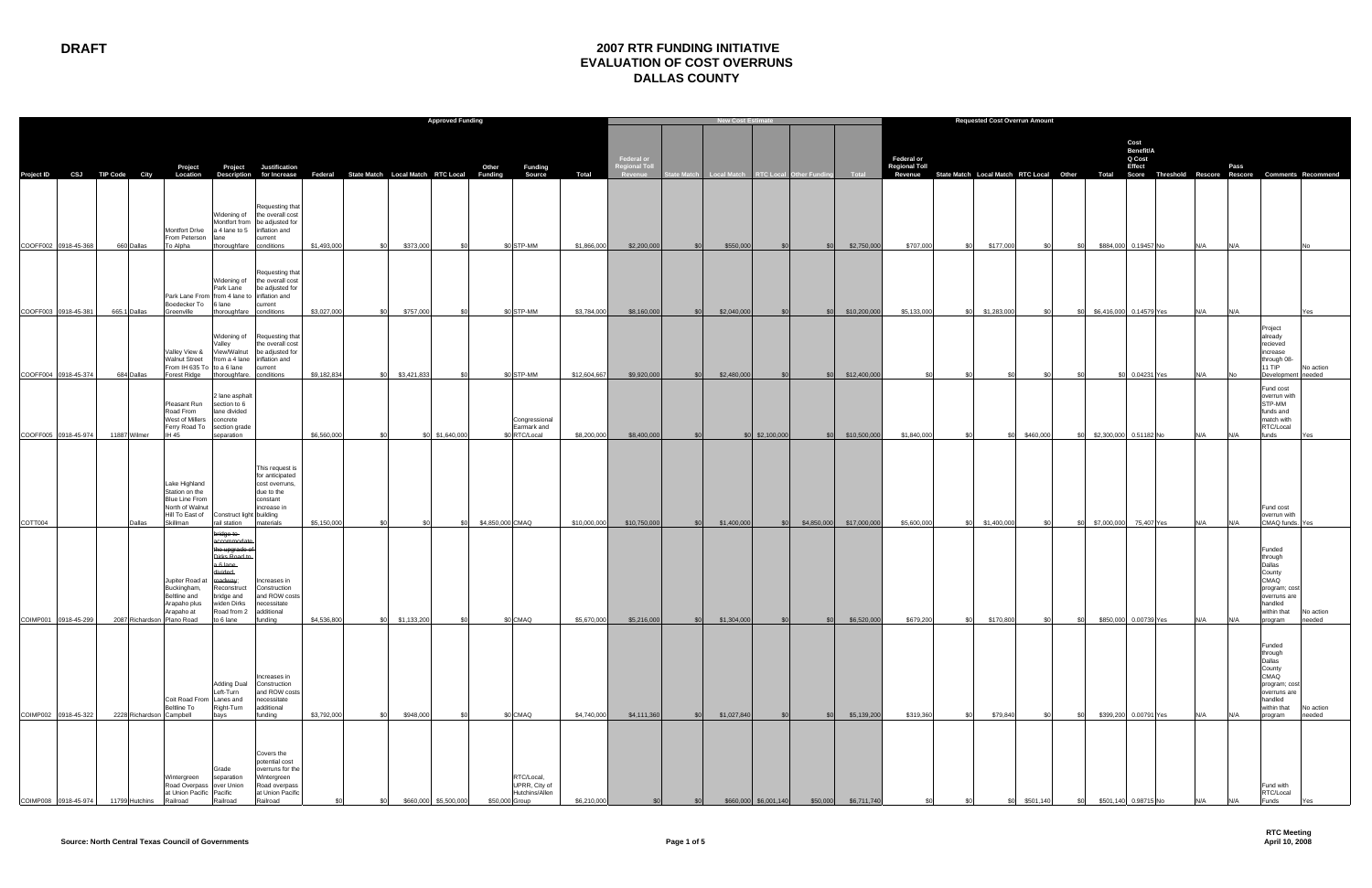## **DRAFT 2007 RTR FUNDING INITIATIVE EVALUATION OF COST OVERRUNS DALLAS COUNTY**

|                                              |  |                            |                                                                                                                         |                                                                                                                                                                   |                                                                                                                            |                                                                            |                          | <b>Approved Funding</b> |                                                                 |                             |                                               |            | <b>New Cost Estimate</b>                       |                 |                 |                              | <b>Requested Cost Overrun Amount</b>      |                                                                                                          |              |                                                          |                                       |             |     |                                                                                                                     |                     |
|----------------------------------------------|--|----------------------------|-------------------------------------------------------------------------------------------------------------------------|-------------------------------------------------------------------------------------------------------------------------------------------------------------------|----------------------------------------------------------------------------------------------------------------------------|----------------------------------------------------------------------------|--------------------------|-------------------------|-----------------------------------------------------------------|-----------------------------|-----------------------------------------------|------------|------------------------------------------------|-----------------|-----------------|------------------------------|-------------------------------------------|----------------------------------------------------------------------------------------------------------|--------------|----------------------------------------------------------|---------------------------------------|-------------|-----|---------------------------------------------------------------------------------------------------------------------|---------------------|
| Project ID CSJ TIP Code City                 |  |                            | Project<br>Location                                                                                                     |                                                                                                                                                                   | Project Justification                                                                                                      | Description for Increase Federal State Match Local Match RTC Local Funding |                          |                         | Other<br>Funding<br>Source                                      | Total                       | Federal or<br><b>Regional Toll</b><br>Revenue |            | State Match Local Match RTC Local Other Fundin |                 |                 | <b>Total</b>                 | <b>Federal or</b><br><b>Regional Toll</b> | Revenue State Match Local Match RTC Local Other Total Score Threshold Rescore Rescore Comments Recommend |              |                                                          | Cost<br>Benefit/A<br>Q Cost<br>Effect |             |     | Pass                                                                                                                |                     |
|                                              |  |                            | Montfort Drive<br>From Peterson                                                                                         | lane                                                                                                                                                              | Requesting that<br>Widening of the overall cost<br>Montfort from be adjusted for<br>a 4 lane to 5 inflation and<br>current |                                                                            |                          |                         |                                                                 |                             |                                               |            |                                                |                 |                 |                              |                                           |                                                                                                          |              |                                                          |                                       |             |     |                                                                                                                     |                     |
| COOFF002 0918-45-368                         |  | 660 Dallas                 | To Alpha<br>Park Lane From from 4 lane to inflation and<br>Boedecker To                                                 | thoroughfare conditions<br>Park Lane<br>6 lane                                                                                                                    | Requesting that<br>Widening of the overall cost<br>be adjusted for<br>current                                              | \$1,493,000<br>\$0                                                         | \$373,000                | \$0                     | \$0 STP-MM                                                      | \$1,866,000                 | \$2,200,000                                   | SOI        | \$550,000                                      | SO <sub>2</sub> | SO <sub>2</sub> | \$2,750,000                  | \$707,000                                 | \$177,000<br>\$0                                                                                         | \$0          | \$0                                                      | \$884,000 0.19457 No                  | N/A         |     | N/A                                                                                                                 |                     |
| COOFF003 0918-45-381<br>COOFF004 0918-45-374 |  | 665.1 Dallas<br>684 Dallas | Greenville<br>Valley View &<br><b>Walnut Street</b><br>From IH 635 To to a 6 lane                                       | thoroughfare conditions<br>alley<br>Forest Ridge thoroughfare. conditions                                                                                         | Widening of Requesting that<br>the overall cost<br>View/Walnut be adjusted for<br>from a 4 lane inflation and<br>current   | \$3,027,000<br>SOI.<br>\$9,182,834<br>.SO                                  | \$757,000<br>\$3,421,833 | . ደበ<br>\$0             | \$0 STP-MM<br>\$0 STP-MM                                        | \$3,784,000<br>\$12,604,667 | \$8,160,000<br>\$9,920,000                    | \$0<br>\$0 | \$2,040,000<br>\$2,480,000                     | \$0<br>\$0      | \$0<br>\$0      | \$10,200,000<br>\$12,400,000 | \$5,133,000                               | \$1,283,000<br>.\$በ<br>- \$0                                                                             | \$0<br>. \$በ | \$6,416,000 0.14579 Yes<br><b>SO</b><br>\$0<br><b>SO</b> | 0.04231 Yes                           | N/A<br>IN/A |     | N/A<br>Project<br>already<br>recieved<br>increase<br>through 08-<br>11 TIP<br>Development needed                    | Yes<br>No action    |
| COOFF005 0918-45-974                         |  | 11887 Wilmer               | Pleasant Run<br>Road From<br>West of Millers<br>Ferry Road To section grade<br><b>IH 45</b>                             | 2 lane asphalt<br>section to 6<br>lane divided<br>concrete<br>separation                                                                                          |                                                                                                                            | \$6,560,000                                                                |                          | \$0 \$1,640,000         | Congressional<br>Earmark and<br>\$0 RTC/Local                   | \$8,200,000                 | \$8,400,000                                   | \$0        |                                                | \$0 \$2,100,000 | SO <sub>2</sub> | \$10,500,000                 | \$1,840,000                               | - \$0<br>SO.                                                                                             | \$460,000    | \$2,300,000 0.51182 No<br>\$O                            |                                       |             |     | Fund cost<br>overrun with<br>STP-MM<br>funds and<br>match with<br>RTC/Local<br>funds                                | Yes.                |
|                                              |  |                            | Lake Highland<br>Station on the<br><b>Blue Line From</b><br>North of Walnut<br>Hill To East of Construct light building |                                                                                                                                                                   | This request is<br>for anticipated<br>cost overruns,<br>due to the<br>constant<br>increase in                              |                                                                            |                          |                         |                                                                 |                             |                                               |            |                                                |                 |                 |                              |                                           |                                                                                                          |              |                                                          |                                       |             |     | Fund cost<br>overrun with                                                                                           |                     |
| COTT004                                      |  | Dallas                     | Skillman                                                                                                                | rail station                                                                                                                                                      | materials                                                                                                                  | \$5,150,000<br>.\$በ                                                        |                          | \$0                     | \$4,850,000 CMAQ                                                | \$10,000,000                | \$10,750,000                                  | \$0        | \$1,400,000                                    | \$0             | \$4,850,000     | \$17,000,000                 | \$5,600,000                               | \$1,400,000<br>-SC                                                                                       | \$0          | \$7,000,000 75,407 Yes<br>\$0                            |                                       | N/A         | N/A | CMAQ funds.                                                                                                         | Yes                 |
| COIMP001 0918-45-299                         |  |                            | Jupiter Road a<br>Buckingham,<br>seltline and<br>Arapaho plus<br>Arapaho at<br>2087 Richardson Plano Road to 6 lane     | <del>bridge to</del><br>accommodate<br>the upgrade o<br>Dirks Road to<br>a 6 lane<br>vided<br>roadway;<br>Reconstruct<br>bridge and<br>widen Dirks<br>Road from 2 | Increases in<br>Construction<br>and ROW costs<br>necessitate<br>additional<br>funding                                      | \$4,536,800                                                                | \$0 \$1,133,200          | \$0                     | \$0 CMAQ                                                        | \$5,670,000                 | \$5,216,000                                   |            | \$0 \$1,304,000                                | \$0             |                 | \$0 \$6,520,000              | \$679,200                                 | \$170,800<br>\$0                                                                                         | \$0          | \$0                                                      | \$850,000 0.00739 Yes                 | N/A         | N/A | Funded<br>through<br>Dallas<br>County<br>CMAQ<br>program; cost<br>overruns are<br>handled<br>within that<br>program | No action<br>needed |
| COIMP002 0918-45-322                         |  | 2228 Richardson Campbell   | Coit Road From Lanes and<br><b>Beltline To</b>                                                                          | <b>Adding Dual</b><br>Left-Turn<br>Right-Turn<br>bays                                                                                                             | Increases in<br>Construction<br>and ROW costs<br>necessitate<br>additional<br>funding                                      | \$3,792,000<br>.ടറ                                                         | \$948,000                |                         | \$0 CMAQ                                                        | \$4,740,000                 | \$4,111,360                                   | <b>SO</b>  | \$1,027,840                                    | <b>.SO</b>      | SO <sub>2</sub> | \$5,139,200                  | \$319,360                                 | \$79,840<br>- \$0                                                                                        | \$0          | <b>SO</b>                                                | \$399,200 0.00791 Yes                 | N/A         | N/A | Funded<br>through<br>Dallas<br>County<br>CMAQ<br>program; cost<br>overruns are<br>handled<br>within that<br>program | No action<br>needed |
| COIMP008 0918-45-974                         |  | 11799 Hutchins             | Nintergreen<br>Road Overpass over Union<br>at Union Pacific Pacific<br>Railroad                                         | Grade<br>separation<br>Railroad                                                                                                                                   | Covers the<br>potential cost<br>overruns for the<br>Wintergreen<br>Road overpass<br>at Union Pacific<br>Railroad           |                                                                            | \$660,000                | \$5,500,000             | RTC/Local,<br>UPRR, City of<br>Hutchins/Allen<br>\$50,000 Group | \$6,210,000                 |                                               |            | \$660,000                                      | \$6,001,140     | \$50,000        | \$6,711,740                  |                                           |                                                                                                          | \$501,140    | \$501,140                                                | 0.98715 No                            |             |     | Fund with<br>RTC/Local<br>unds <sup>:</sup>                                                                         |                     |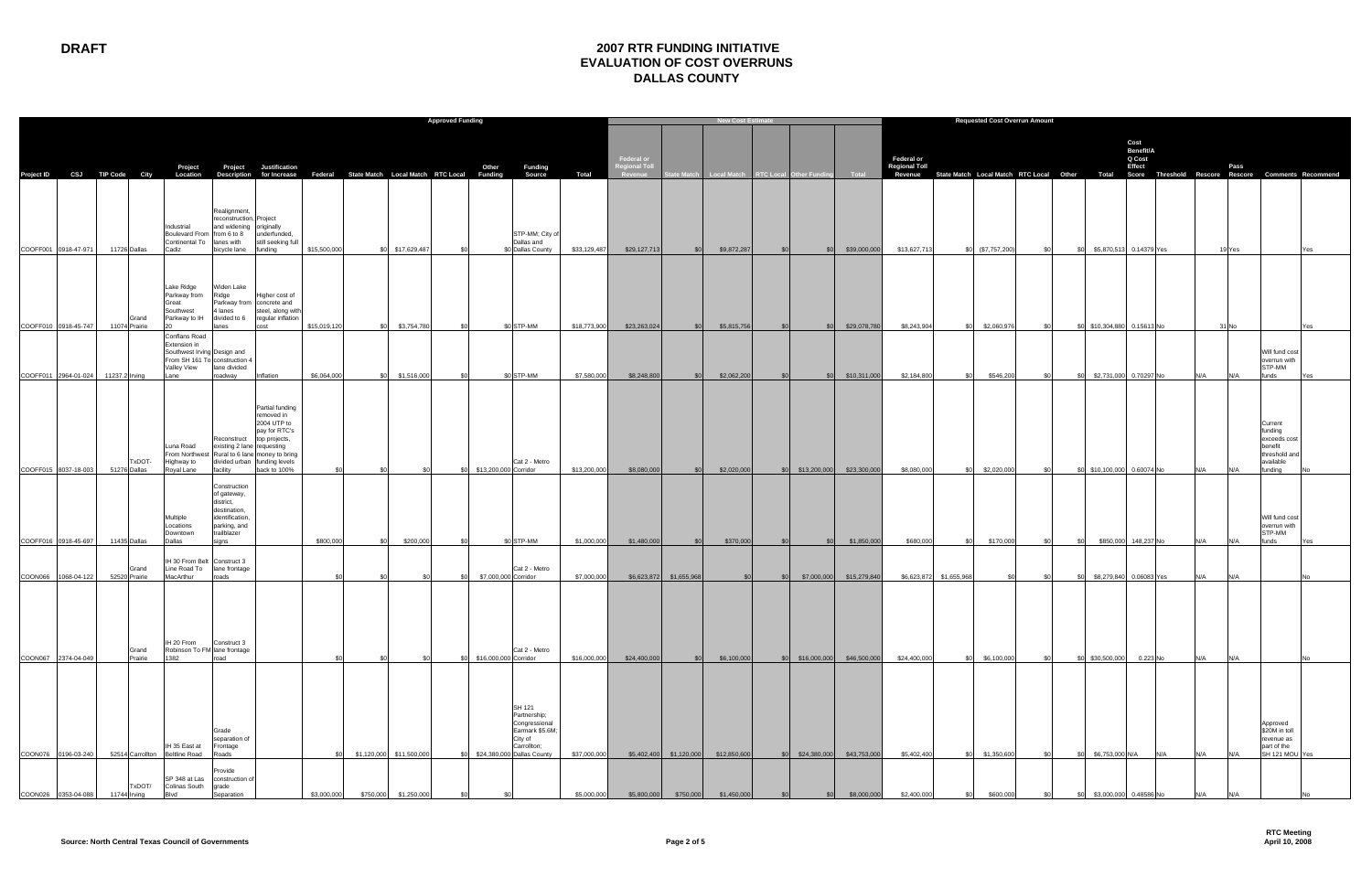|                              |                        |                                                                                                                     |                                                                                                            |                                                                                                                                                                              | <b>Approved Funding</b> |                          |                       |     |                       |                                                                                                                    |              |                             |                           | <b>New Cost Estimate</b>                            |           |                               |                           | <b>Requested Cost Overrun Amount</b>      |                                                                                                          |       |                             |                                       |            |        |                                                                                        |     |
|------------------------------|------------------------|---------------------------------------------------------------------------------------------------------------------|------------------------------------------------------------------------------------------------------------|------------------------------------------------------------------------------------------------------------------------------------------------------------------------------|-------------------------|--------------------------|-----------------------|-----|-----------------------|--------------------------------------------------------------------------------------------------------------------|--------------|-----------------------------|---------------------------|-----------------------------------------------------|-----------|-------------------------------|---------------------------|-------------------------------------------|----------------------------------------------------------------------------------------------------------|-------|-----------------------------|---------------------------------------|------------|--------|----------------------------------------------------------------------------------------|-----|
|                              |                        | Project                                                                                                             |                                                                                                            | <b>Project</b> Justification                                                                                                                                                 |                         |                          |                       |     | Other                 | Funding                                                                                                            |              | Federal or<br>Regional Toll |                           |                                                     |           |                               |                           | <b>Federal or</b><br><b>Regional Toll</b> |                                                                                                          |       |                             | Cost<br>Benefit/A<br>Q Cost<br>Effect |            | Pass   |                                                                                        |     |
| Project ID CSJ TIP Code City |                        | Location                                                                                                            |                                                                                                            | Description for Increase Federal State Match Local Match RTC Local Funding                                                                                                   |                         |                          |                       |     |                       | Source                                                                                                             | <b>Total</b> | Revenue                     |                           | State Match   Local Match   RTC Local Other Funding |           |                               | <b>Total</b>              |                                           | Revenue State Match Local Match RTC Local Other Total Score Threshold Rescore Rescore Comments Recommend |       |                             |                                       |            |        |                                                                                        |     |
|                              |                        | Industrial<br>Boulevard From from 6 to 8<br>Continental To lanes with                                               | Realignment,<br>reconstruction, Project<br>and widening originally                                         | underfunded,<br>still seeking full                                                                                                                                           |                         |                          |                       |     |                       | STP-MM; City o<br>Dallas and                                                                                       |              |                             |                           |                                                     |           |                               |                           |                                           |                                                                                                          |       |                             |                                       |            |        |                                                                                        |     |
| COOFF001 0918-47-971         | 11726 Dallas           | Cadiz                                                                                                               | bicycle lane                                                                                               | funding                                                                                                                                                                      | \$15,500,000            |                          | \$0 \$17,629,487      |     |                       | \$0 Dallas County                                                                                                  | \$33,129,487 | \$29,127,713                | <b>SO</b>                 | \$9,872,287                                         | \$0       | \$0                           | \$39,000,000              | \$13,627,713                              | \$0 (\$7,757,200)                                                                                        | \$0   | \$O                         | \$5,870,513 0.14379 Yes               |            | 19 Yes |                                                                                        | Yes |
| COOFF010 0918-45-747         | Grand<br>11074 Prairie | Lake Ridge<br>Parkway from<br>Great<br>Southwest<br>Parkway to IH<br>$20^{\circ}$                                   | Widen Lake<br>Ridge<br>4 lanes<br>divided to 6<br>lanes                                                    | Higher cost of<br>Parkway from concrete and<br>steel, along with<br>regular inflation<br>cost                                                                                | \$15,019,120            |                          | \$0 \$3,754,780       | \$0 |                       | \$0 STP-MM                                                                                                         | \$18,773,900 | \$23,263,024                | SO <sub>1</sub>           | \$5,815,756                                         | <b>SO</b> |                               | \$0 \$29,078,780          | \$8,243,904                               | \$2,060,976<br>\$0                                                                                       | \$0   | \$0 \$10,304,880 0.15613 No |                                       |            | 31 No  |                                                                                        | Yes |
|                              |                        | <b>Conflans Road</b><br>Extension in<br>Southwest Irving Design and<br>From SH 161 To construction 4<br>Valley View | lane divided                                                                                               |                                                                                                                                                                              |                         |                          |                       |     |                       |                                                                                                                    |              |                             |                           |                                                     |           |                               |                           |                                           |                                                                                                          |       |                             |                                       |            |        | Will fund cost<br>overrun with<br>STP-MM                                               |     |
| COOFF011 2964-01-024         | 11237.2 Irving         | Lane                                                                                                                | roadway                                                                                                    | Inflation                                                                                                                                                                    | \$6,064,000             | SOI.                     | \$1,516,000           |     |                       | \$0 STP-MM                                                                                                         | \$7,580,000  | \$8,248,800                 | \$0                       | \$2,062,200                                         | - \$0     | \$0                           | \$10,311,000              | \$2,184,800                               | \$0<br>\$546,200                                                                                         | - \$0 | -90                         | \$2,731,000 0.70297 No                | N/A        | N/A    | funds                                                                                  |     |
| COOFF015 8037-18-003         | TxDOT-<br>51276 Dallas | Luna Road<br>From Northwest<br>Highway to<br>Royal Lane                                                             | existing 2 lane requesting<br>facility                                                                     | Partial funding<br>removed in<br>2004 UTP to<br>pay for RTC's<br>Reconstruct top projects,<br>Rural to 6 lane money to bring<br>divided urban funding levels<br>back to 100% |                         |                          |                       |     | \$13,200,000 Corridor | Cat 2 - Metro                                                                                                      | \$13,200,000 | \$8,080,000                 | <b>SO</b>                 | \$2,020,000                                         |           | \$0 \$13,200,000 \$23,300,000 |                           | \$8,080,000                               | \$2,020,000<br><b>\$0</b>                                                                                |       | \$0 \$10,100,000 0.60074 No |                                       | N/A        | N/A    | Current<br>funding<br>exceeds cost<br>benefit<br>threshold and<br>available<br>funding |     |
|                              |                        | Multiple<br>Locations<br>Downtown                                                                                   | Construction<br>of gateway,<br>district,<br>destination,<br>identification,<br>parking, and<br>trailblazer |                                                                                                                                                                              |                         |                          |                       |     |                       |                                                                                                                    |              |                             |                           |                                                     |           |                               |                           |                                           |                                                                                                          |       |                             |                                       |            |        | Will fund cost<br>overrun with<br>STP-MM                                               |     |
| COOFF016 0918-45-697         | 11435 Dallas           | Dallas                                                                                                              | sians                                                                                                      |                                                                                                                                                                              | \$800,000               | <b>SO</b>                | \$200,000             |     |                       | \$0 STP-MM                                                                                                         | \$1,000,000  | \$1,480,000                 | SOI                       | \$370,000                                           |           | SO <sub>2</sub>               | \$1,850,000               | \$680,000                                 | \$170,000<br><b>\$0</b>                                                                                  | . \$∩ | -SOI                        | \$850,000 148,237 No                  | N/A        | N/A    | funds                                                                                  |     |
| COON066 1068-04-122          | Grand<br>52520 Prairie | IH 30 From Belt<br>Line Road To<br>MacArthur                                                                        | Construct 3<br>lane frontage<br>roads                                                                      |                                                                                                                                                                              |                         |                          |                       |     | \$7,000,000 Corridor  | Cat 2 - Metro                                                                                                      | \$7,000,000  |                             | \$6,623,872 \$1,655,968   | <b>\$0</b>                                          | \$0       |                               | \$7,000,000 \$15,279,840  | \$6,623,872 \$1,655,968                   |                                                                                                          |       |                             | \$8,279,840 0.06083 Yes               | N/A        | N/A    |                                                                                        |     |
| COON067 2374-04-049          | Grand<br>Prairie       | IH 20 From<br>Robinson To FM lane frontage<br>1382                                                                  | Construct 3<br>road                                                                                        |                                                                                                                                                                              |                         |                          |                       |     | \$16,000,000 Corridor | Cat 2 - Metro                                                                                                      | \$16,000,000 | \$24,400,000                | \$0                       | \$6,100,000                                         |           | \$0 \$16,000,000 \$46,500,000 |                           | \$24,400,000                              | \$6,100,000<br>\$0                                                                                       | - \$0 | \$0 \$30,500,000            | 0.223 No                              | N/A        | N/A    |                                                                                        |     |
|                              |                        |                                                                                                                     |                                                                                                            |                                                                                                                                                                              |                         |                          |                       |     |                       |                                                                                                                    |              |                             |                           |                                                     |           |                               |                           |                                           |                                                                                                          |       |                             |                                       |            |        |                                                                                        |     |
| COON076 0196-03-240          | 52514 Carrollton       | IH 35 East at<br><b>Beltline Road</b>                                                                               | Grade<br>separation of<br>Frontage<br>Roads                                                                |                                                                                                                                                                              | \$0                     | \$1,120,000 \$11,500,000 |                       |     |                       | SH 121<br>Partnership;<br>Congressional<br>Earmark \$5.6M;<br>City of<br>Carrollton;<br>\$24,380,000 Dallas County | \$37,000,000 |                             | $$5,402,400$ $$1,120,000$ | \$12,850,600                                        |           | \$0                           | \$24,380,000 \$43,753,000 | \$5,402,400                               | \$1,350,600<br>\$0                                                                                       | - \$0 | \$6,753,000 N/A<br>\$O      |                                       | N/A<br>N/A | N/A    | Approved<br>\$20M in toll<br>revenue as<br>part of the<br>SH 121 MOU Yes               |     |
| COON026 0353-04-088          | /TxDOT<br>11744 Irving | SP 348 at Las<br>Colinas South<br>Blvd                                                                              | Provide<br>construction of<br>grade<br>Separation                                                          |                                                                                                                                                                              | \$3,000,000             |                          | \$750,000 \$1,250,000 |     |                       |                                                                                                                    | \$5,000,000  | \$5,800,000                 | \$750,000                 | \$1,450,000                                         |           | ፍሰ                            | \$8,000,000               | \$2,400,000                               | \$600,000<br>\$0                                                                                         | - \$0 | \$0                         | \$3,000,000 0.48586 No                | N/A        |        |                                                                                        |     |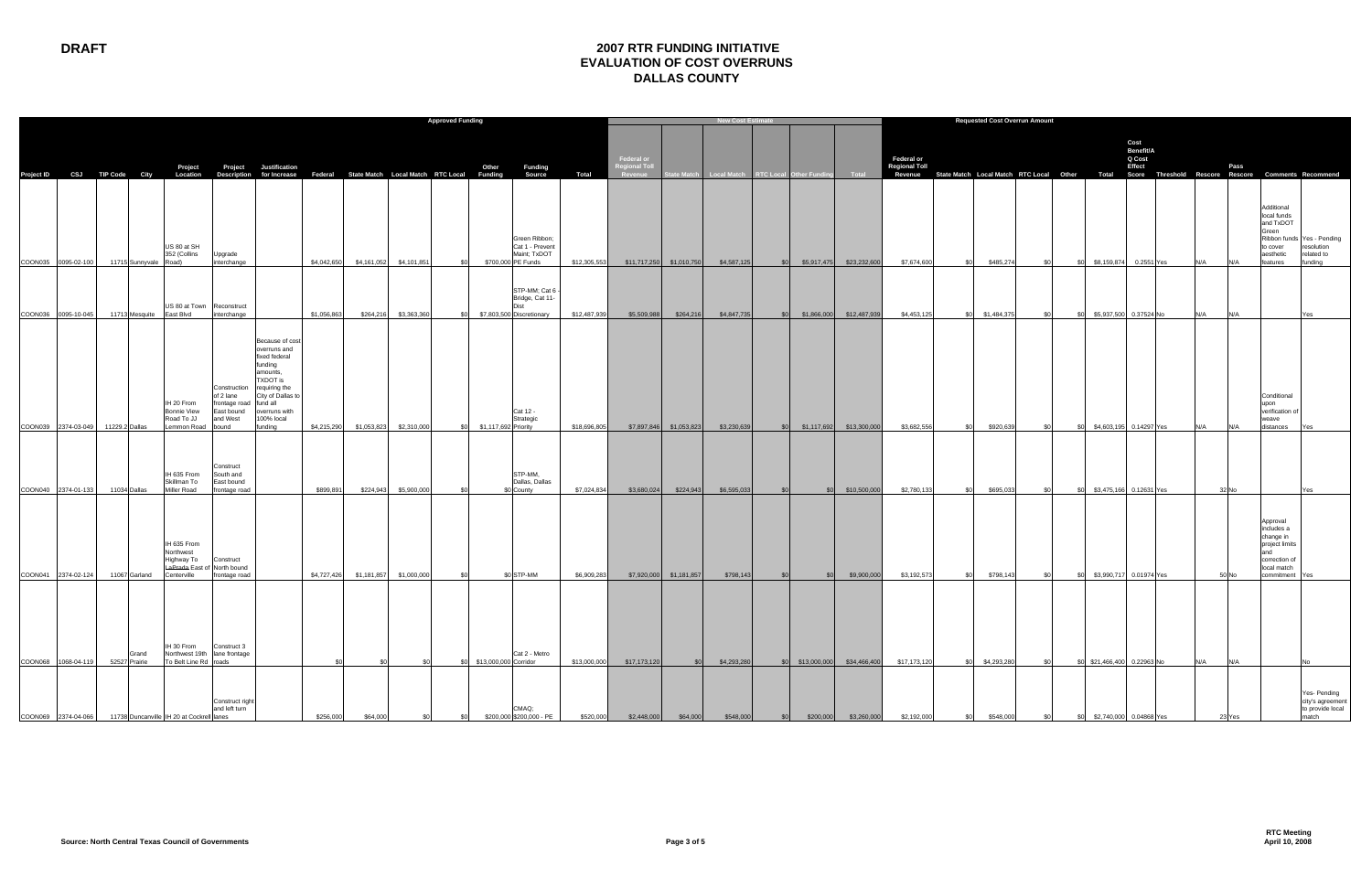## **DRAFT 2007 RTR FUNDING INITIATIVE EVALUATION OF COST OVERRUNS DALLAS COUNTY**

|                              |                |                        |                                                                                      |                                                                                        |                                                                                                                                                                     |             |             |                                                                            | <b>Approved Funding</b>                                                       |              |                                               | <b>New Cost Estimate</b> |                                                |      |                               |                          | <b>Requested Cost Overrun Amount</b>      |                                                                                                          |       |                                |                                       |     |                                                                                                                     |                                                                   |
|------------------------------|----------------|------------------------|--------------------------------------------------------------------------------------|----------------------------------------------------------------------------------------|---------------------------------------------------------------------------------------------------------------------------------------------------------------------|-------------|-------------|----------------------------------------------------------------------------|-------------------------------------------------------------------------------|--------------|-----------------------------------------------|--------------------------|------------------------------------------------|------|-------------------------------|--------------------------|-------------------------------------------|----------------------------------------------------------------------------------------------------------|-------|--------------------------------|---------------------------------------|-----|---------------------------------------------------------------------------------------------------------------------|-------------------------------------------------------------------|
| Project ID CSJ TIP Code City |                |                        | Project<br>Location                                                                  |                                                                                        | Project Justification                                                                                                                                               |             |             | Description for Increase Federal State Match Local Match RTC Local Funding | Other<br>Funding<br>Source                                                    | <b>Total</b> | Federal or<br><b>Regional Toll</b><br>Revenue |                          | State Match Local Match RTC Local Other Fundin |      |                               | <b>Total</b>             | <b>Federal or</b><br><b>Regional Toll</b> | Revenue State Match Local Match RTC Local Other Total Score Threshold Rescore Rescore Comments Recommend |       |                                | Cost<br>Benefit/A<br>Q Cost<br>Effect |     | Pass                                                                                                                |                                                                   |
| COON035 0095-02-100          |                | 11715 Sunnyvale Road)  | US 80 at SH<br>352 (Collins                                                          | Upgrade<br>interchange                                                                 |                                                                                                                                                                     | \$4,042,650 | \$4,161,052 | \$4,101,851                                                                | Green Ribbon;<br>Cat 1 - Prevent<br>Maint; TxDOT<br>\$700,000 PE Funds<br>SO. | \$12,305,553 |                                               | \$11,717,250 \$1,010,750 | \$4,587,125                                    |      | \$0 \$5,917,475 \$23,232,600  |                          | \$7,674,600                               | \$485,274<br>-SG                                                                                         | - \$0 | \$8,159,874  0.2551 Yes<br>\$0 |                                       | N/A | Additional<br>local funds<br>and TxDOT<br>Green<br>to cover<br>aesthetic<br>features<br>N/A                         | Ribbon funds Yes - Pending<br>resolution<br>related to<br>funding |
| COON036 0095-10-045          |                | 11713 Mesquite         | US 80 at Town Reconstruct<br>East Blvd                                               | interchange                                                                            |                                                                                                                                                                     | \$1,056,863 | \$264,216   | \$3,363,360                                                                | STP-MM; Cat 6<br>Bridge, Cat 11-<br>\$7,803,500 Discretionary<br>\$0          | \$12,487,939 | \$5,509,988                                   | \$264,216                | \$4,847,735                                    |      | \$0 \$1,866,000 \$12,487,939  |                          | \$4,453,125                               | \$1,484,375<br>-\$0                                                                                      | - \$0 | \$5,937,500 0.37524 No<br>\$O  |                                       | N/A | N/A                                                                                                                 | Yes.                                                              |
| COON039 2374-03-049          | 11229.2 Dallas |                        | IH 20 From<br><b>Bonnie View</b><br>Road To JJ<br>Lemmon Road                        | Construction<br>of 2 lane<br>frontage road fund all<br>East bound<br>and West<br>bound | Because of cost<br>overruns and<br>fixed federal<br>funding<br>amounts,<br>TXDOT is<br>requiring the<br>City of Dallas to<br>overruns with<br>100% local<br>funding | \$4,215,290 | \$1,053,823 | \$2,310,000                                                                | Cat 12 -<br>Strategic<br>\$0<br>\$1,117,692 Priority                          | \$18,696,805 |                                               | \$7,897,846 \$1,053,823  | \$3,230,639                                    | \$0  |                               | \$1,117,692 \$13,300,000 | \$3,682,556                               | \$0<br>\$920,639                                                                                         | \$0   | \$4,603,195 0.14297 Yes<br>\$0 |                                       | N/A | Conditional<br>upon<br>verification of<br>weave<br>N/A<br>distances                                                 | Yes                                                               |
| COON040 2374-01-133          | 11034 Dallas   |                        | IH 635 From<br>Skillman To<br>Miller Road                                            | Construct<br>South and<br>East bound<br>frontage road                                  |                                                                                                                                                                     | \$899,891   | \$224,943   | \$5,900,000                                                                | STP-MM,<br>Dallas, Dallas<br>\$0 County                                       | \$7,024,834  | \$3,680,024                                   | \$224,943                | \$6,595,033                                    | \$0  | SO <sub>2</sub>               | \$10,500,000             | \$2,780,133                               | \$695,033<br>-\$0                                                                                        | \$0   | \$3,475,166 0.12631 Yes<br>\$O |                                       |     | 32 No                                                                                                               | Yes                                                               |
| COON041 2374-02-124          |                | 11067 Garland          | IH 635 From<br>Northwest<br>Highway To<br>LaPrada East of North bound<br>Centerville | Construct<br>frontage road                                                             |                                                                                                                                                                     | \$4,727,426 | \$1,181,857 | \$1,000,000                                                                | \$0 STP-MM<br>- \$0                                                           | \$6,909,283  |                                               | \$7,920,000 \$1,181,857  | \$798,143                                      | \$0  | \$0                           | \$9,900,000              | \$3,192,573                               | \$798,143<br>-SG                                                                                         | \$0   | \$3,990,717 0.01974 Yes<br>\$0 |                                       |     | Approval<br>includes a<br>change in<br>project limits<br>and<br>correction of<br>local match<br>commitment<br>50 No |                                                                   |
| COON068 1068-04-119          |                | Grand<br>52527 Prairie | IH 30 From<br>To Belt Line Rd roads                                                  | Construct 3<br>Northwest 19th lane frontage                                            |                                                                                                                                                                     |             |             | -90                                                                        | Cat 2 - Metro<br>\$0 \$13,000,000 Corridor                                    | \$13,000,000 | \$17,173,120                                  | \$0                      | \$4,293,280                                    |      | \$0 \$13,000,000 \$34,466,400 |                          | \$17,173,120                              | \$4,293,280<br><b>SO</b>                                                                                 | \$0   | \$0 \$21,466,400 0.22963 No    |                                       | N/A | N/A                                                                                                                 | .No                                                               |
| COON069 2374-04-066          |                |                        | 11738 Duncanville IH 20 at Cockrell lanes                                            | Construct right<br>and left turn                                                       |                                                                                                                                                                     | \$256,000   | \$64,000    | \$0                                                                        | CMAQ:<br>\$200,000 \$200,000 - PE<br>\$0                                      | \$520,000    | \$2,448,000                                   | \$64,000                 | \$548,000                                      | sol. | \$200,000                     | \$3,260,000              | \$2,192,000                               | \$548,000<br>\$0                                                                                         | \$0   | \$0 \$2,740,000 0.04868 Yes    |                                       |     | 23 Yes                                                                                                              | Yes- Pending<br>city's agreement<br>to provide local<br>match     |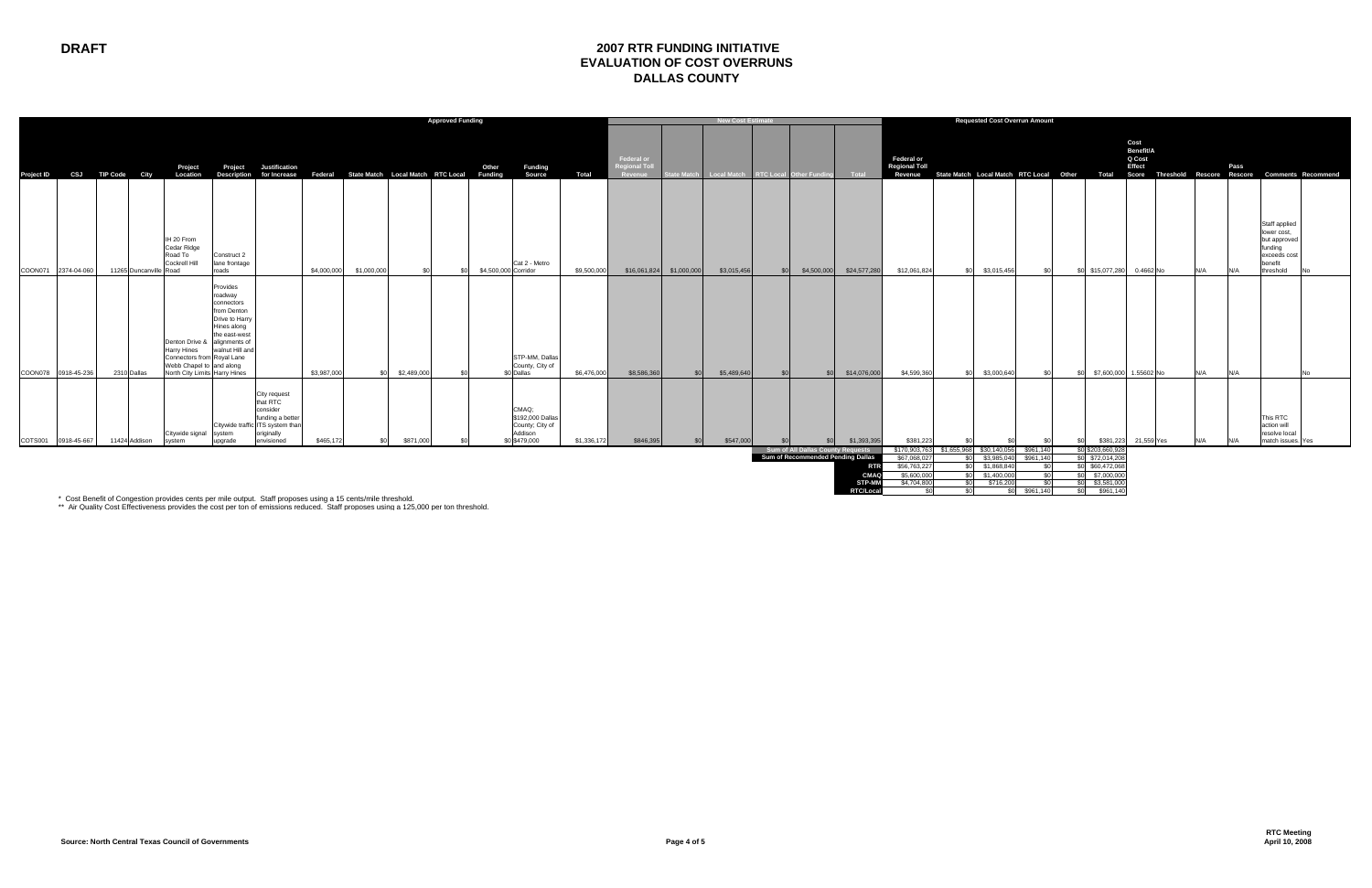| Federal or<br><b>Federal or</b><br><b>Regional Toll</b><br><b>Regional Toll</b><br>Project<br>Justification<br>Other<br><b>Funding</b><br>Project<br>Source<br>Federal State Match Local Match RTC Local<br><b>Total</b><br>CSJ TIP Code City<br>Description for Increase<br><b>Funding</b><br>State Match Local Match RTC Local Other<br>Location<br>State Match Local Match<br><b>RTC Local Other Fund</b><br>Total<br><b>Project ID</b><br>Revenue<br>Revenue                                                                                                                                                                                                                         | Total                                                                                                                  | Cost<br>Benefit/A<br>Q Cost<br>Effect | Pass                                                                                                   |
|------------------------------------------------------------------------------------------------------------------------------------------------------------------------------------------------------------------------------------------------------------------------------------------------------------------------------------------------------------------------------------------------------------------------------------------------------------------------------------------------------------------------------------------------------------------------------------------------------------------------------------------------------------------------------------------|------------------------------------------------------------------------------------------------------------------------|---------------------------------------|--------------------------------------------------------------------------------------------------------|
|                                                                                                                                                                                                                                                                                                                                                                                                                                                                                                                                                                                                                                                                                          |                                                                                                                        |                                       | Score Threshold Rescore Rescore Comments Recommend                                                     |
| IH 20 From<br>Cedar Ridge<br>Road To<br>Construct 2<br>Cockrell Hill<br>lane frontage<br>Cat 2 - Metro<br>\$4.500.000 Corridor<br>COON071<br>11265 Duncanville Road<br>roads<br>\$4,000,000<br>\$1,000,000<br>\$3,015,456<br>\$24,577,280<br>\$12,061,824<br>\$3.015.456<br>2374-04-060<br>\$9,500,000<br>\$16,061,824 \$1,000,000<br>\$4,500,000<br>ፍሰ<br>ፍሰ<br>S <sub>0</sub>                                                                                                                                                                                                                                                                                                          | \$15,077,280                                                                                                           | 0.4662 No<br>N/A                      | Staff applied<br>lower cost,<br>but approved<br>funding<br>exceeds cost<br>benefit<br>threshold<br>N/A |
| Provides<br>roadway<br>connectors<br>from Denton<br>Drive to Harry<br>Hines along<br>the east-west<br>Denton Drive &<br>alignments of<br>walnut Hill and<br>Harry Hines<br>STP-MM, Dallas<br>Connectors from Royal Lane<br>Webb Chapel to and along<br>County, City of<br>North City Limits Harry Hines<br>\$0 Dallas<br>COON078 0918-45-236<br>2310 Dallas<br>\$3,987,000<br>\$2,489,000<br>\$6,476,000<br>\$8,586,360<br>\$5,489,640<br>\$14,076,000<br>\$4,599,360<br>\$3,000,640<br>\$በ<br>so l<br>sn <sub>l</sub>                                                                                                                                                                   | ፍሰ                                                                                                                     | \$7,600,000 1.55602 No<br>N/A         | N/A<br>lN∩                                                                                             |
| City request<br>that RTC<br>CMAQ;<br>consider<br>\$192,000 Dallas<br>funding a better<br>Citywide traffic ITS system than<br>County; City of<br>Addison<br>originally<br>Citywide signal<br>system<br>\$465,172<br>\$0 \$479,000<br>\$381,223<br>COTS001<br>envisioned<br>\$871,000<br>\$1,336,172<br>\$846,395<br>\$547,000<br>\$1,393,395<br>0918-45-667<br>upgrade<br>11424 Addison<br>system<br>SO.<br><b>.SO</b><br>\$0<br>Sum of All Dallas County Requests<br>\$170,903,76<br>\$1,655,968<br>\$30,140,05<br>Sum of Recommended Pending Dallas<br>\$67,068,02<br>\$3,985,040<br>י∩.<br>\$56,763,227<br>\$1,868,840<br>ፍሰ<br><b>RTF</b><br><b>CMA</b><br>\$5.600.000<br>\$1,400,000 | \$381,223<br>\$961,140<br>\$0 \$203,660,928<br>\$0 \$72,014,208<br>\$961,140<br>\$0 \$60,472,068<br>\$0<br>\$7,000,000 | 21,559 Yes<br>N/A                     | This RTC<br>action will<br>resolve local<br>match issues. Yes<br>N/A                                   |

\* Cost Benefit of Congestion provides cents per mile output. Staff proposes using a 15 cents/mile threshold.<br>\*\* Air Quality Cost Effectiveness provides the cost per ton of emissions reduced. Staff proposes using a 125,000